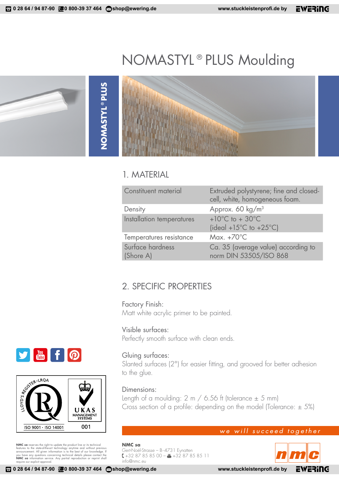# NOMASTYL®PLUS Moulding

**NOMASTYL®PLUS NOMASTYL®PLUS**

### 1. MATERIAL

| Constituent material          | Extruded polystyrene; fine and closed-<br>cell, white, homogeneous foam.              |
|-------------------------------|---------------------------------------------------------------------------------------|
| Density                       | Approx. 60 kg/m <sup>3</sup>                                                          |
| Installation temperatures     | +10 $^{\circ}$ C to + 30 $^{\circ}$ C<br>(ideal +15 $^{\circ}$ C to +25 $^{\circ}$ C) |
| Temperatures resistance       | Max. $+70^{\circ}$ C                                                                  |
| Surface hardness<br>(Shore A) | Ca. 35 (average value) according to<br>norm DIN 53505/ISO 868                         |

### 2. SPECIFIC PROPERTIES

Factory Finish: Matt white acrylic primer to be painted.

#### Visible surfaces:

Perfectly smooth surface with clean ends.

#### Gluing surfaces:

Slanted surfaces (2°) for easier fitting, and grooved for better adhesion to the glue.

#### Dimensions:

Length of a moulding:  $2 \text{ m}$  / 6.56 ft (tolerance  $\pm$  5 mm) Cross section of a profile: depending on the model (Tolerance:  $\pm$  5%)

#### we will succeed together

**NMC sa** Gert-Noël-Strasse – B-4731 Eynatten +32 87 85 85 00 – +32 87 85 85 11 info@nmc.eu







**NMC sa** reserves the right to update the product line or its technical contures to the state-of-heart enchology anyitime and without previous announcement. All given information is to the best of our knowledge. If you hav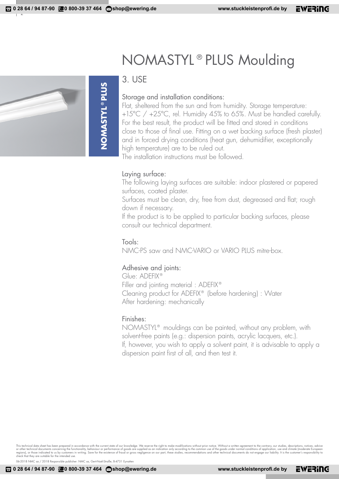# **NOMASTYL<sup>®</sup>PLUS NOMASTYL®PLUS**

## NOMASTYL®PLUS Moulding

#### 3. USE

#### Storage and installation conditions:

Flat, sheltered from the sun and from humidity. Storage temperature: +15°C / +25°C, rel. Humidity 45% to 65%. Must be handled carefully. For the best result, the product will be fitted and stored in conditions close to those of final use. Fitting on a wet backing surface (fresh plaster) and in forced drying conditions (heat gun, dehumidifier, exceptionally high temperature) are to be ruled out.

The installation instructions must be followed.

#### Laying surface:

The following laying surfaces are suitable: indoor plastered or papered surfaces, coated plaster.

Surfaces must be clean, dry, free from dust, degreased and flat; rough down if necessary.

If the product is to be applied to particular backing surfaces, please consult our technical department.

#### Tools:

NMC-PS saw and NMC-VARIO or VARIO PLUS mitre-box.

#### Adhesive and joints:

Glue: ADEFIX® Filler and jointing material : ADEFIX® Cleaning product for ADEFIX® (before hardening) : Water After hardening: mechanically

#### Finishes:

NOMASTYL® mouldings can be painted, without any problem, with solvent-free paints (e.g.: dispersion paints, acrylic lacquers, etc.). If, however, you wish to apply a solvent paint, it is advisable to apply a dispersion paint first of all, and then test it.

This technical data sheet has been prepared in accordance with the current state of our knowledge. We reserve the right to make modifications without prior notice. Without a written agreement to the contrary, our studies,

06-2018 NMC sa / 2018 Responsible publisher: NMC sa, Gert-Noël-Straße, B-4731 Eynatte